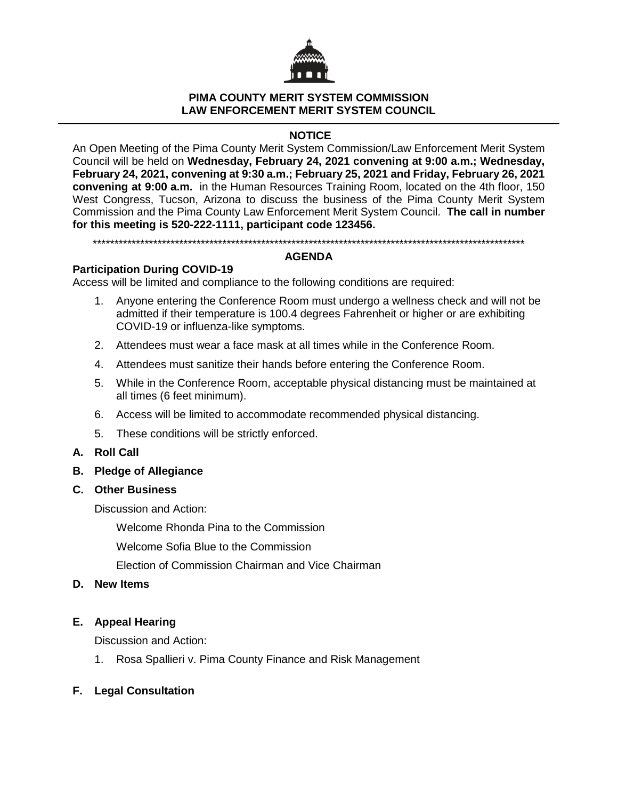

### **PIMA COUNTY MERIT SYSTEM COMMISSION LAW ENFORCEMENT MERIT SYSTEM COUNCIL**

# **NOTICE**

An Open Meeting of the Pima County Merit System Commission/Law Enforcement Merit System Council will be held on **Wednesday, February 24, 2021 convening at 9:00 a.m.; Wednesday, February 24, 2021, convening at 9:30 a.m.; February 25, 2021 and Friday, February 26, 2021 convening at 9:00 a.m.** in the Human Resources Training Room, located on the 4th floor, 150 West Congress, Tucson, Arizona to discuss the business of the Pima County Merit System Commission and the Pima County Law Enforcement Merit System Council. **The call in number for this meeting is 520-222-1111, participant code 123456.**

\*\*\*\*\*\*\*\*\*\*\*\*\*\*\*\*\*\*\*\*\*\*\*\*\*\*\*\*\*\*\*\*\*\*\*\*\*\*\*\*\*\*\*\*\*\*\*\*\*\*\*\*\*\*\*\*\*\*\*\*\*\*\*\*\*\*\*\*\*\*\*\*\*\*\*\*\*\*\*\*\*\*\*\*\*\*\*\*\*\*\*\*\*\*\*\*\*\*\*\*

## **AGENDA**

# **Participation During COVID-19**

Access will be limited and compliance to the following conditions are required:

- 1. Anyone entering the Conference Room must undergo a wellness check and will not be admitted if their temperature is 100.4 degrees Fahrenheit or higher or are exhibiting COVID-19 or influenza-like symptoms.
- 2. Attendees must wear a face mask at all times while in the Conference Room.
- 4. Attendees must sanitize their hands before entering the Conference Room.
- 5. While in the Conference Room, acceptable physical distancing must be maintained at all times (6 feet minimum).
- 6. Access will be limited to accommodate recommended physical distancing.
- 5. These conditions will be strictly enforced.

## **A. Roll Call**

**B. Pledge of Allegiance**

## **C. Other Business**

Discussion and Action:

Welcome Rhonda Pina to the Commission

Welcome Sofia Blue to the Commission

Election of Commission Chairman and Vice Chairman

## **D. New Items**

## **E. Appeal Hearing**

Discussion and Action:

1. Rosa Spallieri v. Pima County Finance and Risk Management

## **F. Legal Consultation**